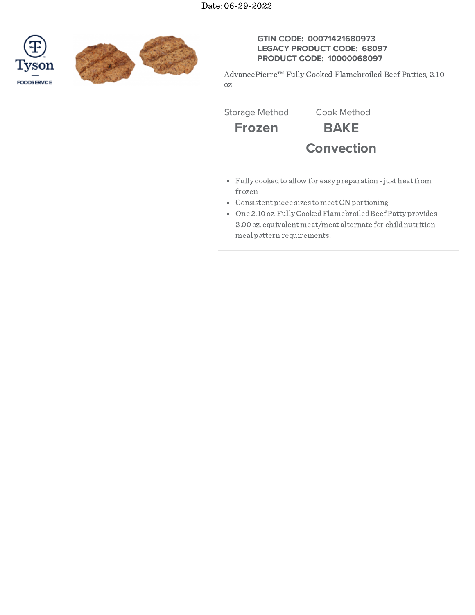



## **GTIN CODE: 00071421680973 LEGACY PRODUCT CODE: 68097 PRODUCT CODE: 10000068097**

AdvancePierre™ Fully Cooked Flamebroiled Beef Patties, 2.10 oz

Storage Method Cook Method

**Frozen BAKE**

**Convection**

- Fully cookedto allow for easy preparation -just heatfrom frozen
- Consistent piece sizes tomeetCN portioning
- One 2.10 oz. Fully Cooked Flamebroiled Beef Patty provides 2.00 oz. equivalent meat/meat alternate for childnutrition meal pattern requirements.